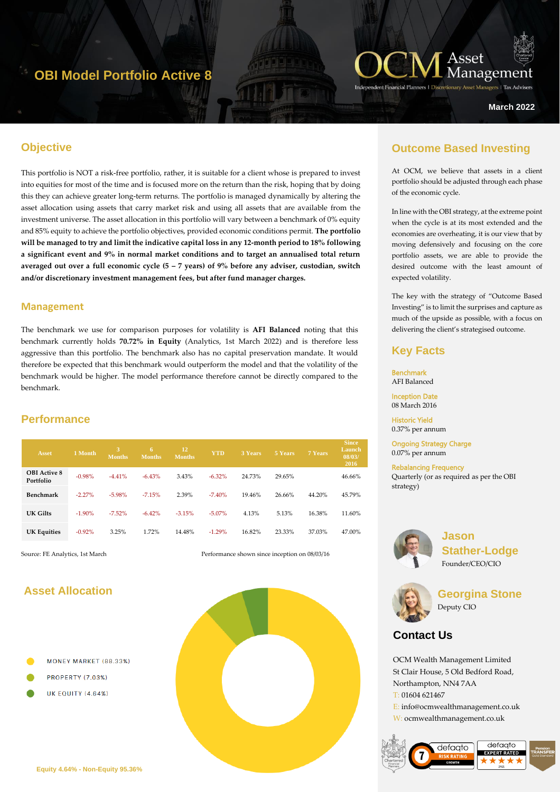## **OBI Model Portfolio Active 8**



**March 2022**

## **Objective**

This portfolio is NOT a risk-free portfolio, rather, it is suitable for a client whose is prepared to invest into equities for most of the time and is focused more on the return than the risk, hoping that by doing this they can achieve greater long-term returns. The portfolio is managed dynamically by altering the asset allocation using assets that carry market risk and using all assets that are available from the investment universe. The asset allocation in this portfolio will vary between a benchmark of 0% equity and 85% equity to achieve the portfolio objectives, provided economic conditions permit. **The portfolio will be managed to try and limit the indicative capital loss in any 12-month period to 18% following a significant event and 9% in normal market conditions and to target an annualised total return averaged out over a full economic cycle (5 – 7 years) of 9% before any adviser, custodian, switch and/or discretionary investment management fees, but after fund manager charges.** 

#### **Management**

The benchmark we use for comparison purposes for volatility is **AFI Balanced** noting that this benchmark currently holds **70.72% in Equity** (Analytics, 1st March 2022) and is therefore less aggressive than this portfolio. The benchmark also has no capital preservation mandate. It would therefore be expected that this benchmark would outperform the model and that the volatility of the benchmark would be higher. The model performance therefore cannot be directly compared to the benchmark.

## **Performance**

| <b>Asset</b>                     | 1 Month  | 3<br><b>Months</b> | 6<br><b>Months</b> | 12<br><b>Months</b> | <b>YTD</b> | 3 Years | 5 Years | 7 Years | <b>Since</b><br>Launch<br>08/03/<br>2016 |
|----------------------------------|----------|--------------------|--------------------|---------------------|------------|---------|---------|---------|------------------------------------------|
| <b>OBI</b> Active 8<br>Portfolio | $-0.98%$ | $-4.41%$           | $-6.43%$           | 3.43%               | $-6.32\%$  | 24.73%  | 29.65%  |         | 46.66%                                   |
| Benchmark                        | $-2.27%$ | $-5.98%$           | $-7.15%$           | 2.39%               | $-7.40%$   | 19.46%  | 26.66%  | 44.20%  | 45.79%                                   |
| UK Gilts                         | $-1.90%$ | $-7.52\%$          | $-6.42%$           | $-3.15%$            | $-5.07\%$  | 4.13%   | 5.13%   | 16.38%  | 11.60%                                   |
| <b>UK Equities</b>               | $-0.92%$ | 3.25%              | 1.72%              | 14.48%              | $-1.29%$   | 16.82%  | 23.33%  | 37.03%  | 47.00%                                   |

Source: FE Analytics, 1st March Performance shown since inception on 08/03/16

#### **Asset Allocation**

- MONEY MARKET (88.33%)
- **PROPERTY (7.03%)**
- **UK EQUITY (4.64%)**



## **Outcome Based Investing**

At OCM, we believe that assets in a client portfolio should be adjusted through each phase of the economic cycle.

In line with the OBI strategy, at the extreme point when the cycle is at its most extended and the economies are overheating, it is our view that by moving defensively and focusing on the core portfolio assets, we are able to provide the desired outcome with the least amount of expected volatility.

The key with the strategy of "Outcome Based Investing" is to limit the surprises and capture as much of the upside as possible, with a focus on delivering the client's strategised outcome.

#### **Key Facts**

Benchmark AFI Balanced Inception Date

08 March 2016

Historic Yield 0.37% per annum

Ongoing Strategy Charge 0.07% per annum

Rebalancing Frequency Quarterly (or as required as per the OBI strategy)



**Jason Stather-Lodge** Founder/CEO/CIO



**Georgina Stone** Deputy CIO

## **Contact Us**

OCM Wealth Management Limited St Clair House, 5 Old Bedford Road, Northampton, NN4 7AA T: 01604 621467 E: info@ocmwealthmanagement.co.uk W: ocmwealthmanagement.co.uk